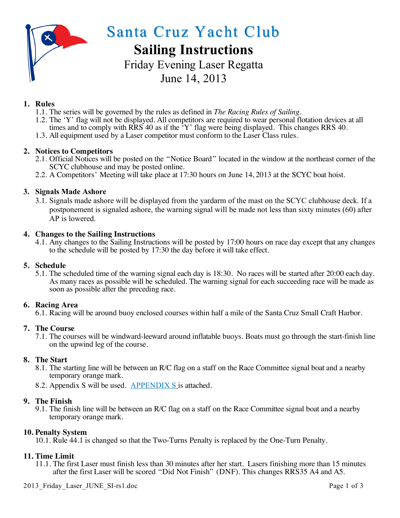

Santa Cruz Yacht Club

# **Sailing Instructions**

Friday Evening Laser Regatta June 14, 2013

# **1. Rules**

- 1.1. The series will be governed by the rules as defined in *The Racing Rules of Sailing.*
- 1.2. The 'Y' flag will not be displayed. All competitors are required to wear personal flotation devices at all times and to comply with  $RRS$  40 as if the  $Y$  flag were being displayed. This changes RRS 40.
- 1.3. All equipment used by a Laser competitor must conform to the Laser Class rules.

## **2. Notices to Competitors**

- 2.1. Official Notices will be posted on the "Notice Board" located in the window at the northeast corner of the SCYC clubhouse and may be posted online.
- 2.2. A Competitors' Meeting will take place at 17:30 hours on June 14, 2013 at the SCYC boat hoist.

## **3. Signals Made Ashore**

3.1. Signals made ashore will be displayed from the yardarm of the mast on the SCYC clubhouse deck. If a postponement is signaled ashore, the warning signal will be made not less than sixty minutes (60) after AP is lowered.

#### **4. Changes to the Sailing Instructions**

4.1. Any changes to the Sailing Instructions will be posted by 17:00 hours on race day except that any changes to the schedule will be posted by 17:30 the day before it will take effect.

#### **5. Schedule**

5.1. The scheduled time of the warning signal each day is 18:30. No races will be started after 20:00 each day. As many races as possible will be scheduled. The warning signal for each succeeding race will be made as soon as possible after the preceding race.

#### **6. Racing Area**

6.1. Racing will be around buoy enclosed courses within half a mile of the Santa Cruz Small Craft Harbor.

#### **7. The Course**

7.1. The courses will be windward-leeward around inflatable buoys. Boats must go through the start-finish line on the upwind leg of the course.

#### **8. The Start**

- 8.1. The starting line will be between an R/C flag on a staff on the Race Committee signal boat and a nearby temporary orange mark.
- 8.2. Appendix S will be used. APPENDIX S is attached.

#### **9. The Finish**

9.1. The finish line will be between an R/C flag on a staff on the Race Committee signal boat and a nearby temporary orange mark.

#### **10. Penalty System**

10.1. Rule 44.1 is changed so that the Two-Turns Penalty is replaced by the One-Turn Penalty.

#### **11. Time Limit**

11.1. The first Laser must finish less than 30 minutes after her start. Lasers finishing more than 15 minutes after the first Laser will be scored "Did Not Finish" (DNF). This changes RRS35 A4 and A5.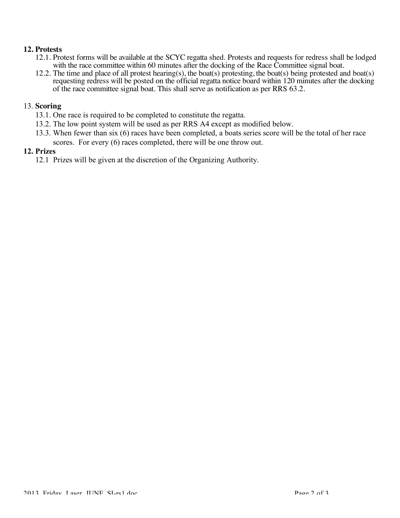### **12. Protests**

- 12.1. Protest forms will be available at the SCYC regatta shed. Protests and requests for redress shall be lodged with the race committee within 60 minutes after the docking of the Race Committee signal boat.
- 12.2. The time and place of all protest hearing(s), the boat(s) protesting, the boat(s) being protested and boat(s) requesting redress will be posted on the official regatta notice board within 120 minutes after the docking of the race committee signal boat. This shall serve as notification as per RRS 63.2.

### 13. **Scoring**

- 13.1. One race is required to be completed to constitute the regatta.
- 13.2. The low point system will be used as per RRS A4 except as modified below.
- 13.3. When fewer than six (6) races have been completed, a boats series score will be the total of her race scores. For every (6) races completed, there will be one throw out.

#### **12. Prizes**

12.1 Prizes will be given at the discretion of the Organizing Authority.